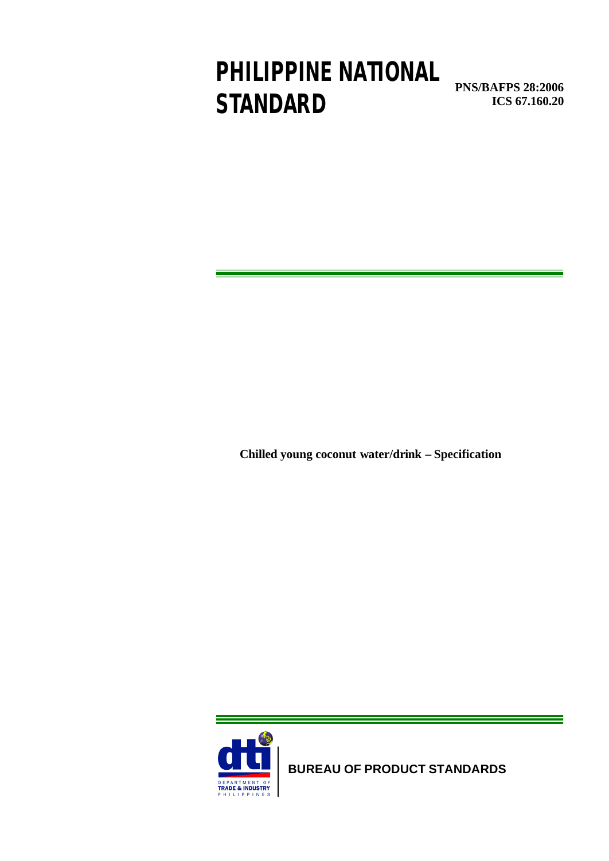# **PHILIPPINE NATIONAL STANDARD**

**PNS/BAFPS 28:2006 ICS 67.160.20**

**Chilled young coconut water/drink – Specification** 



**BUREAU OF PRODUCT STANDARDS**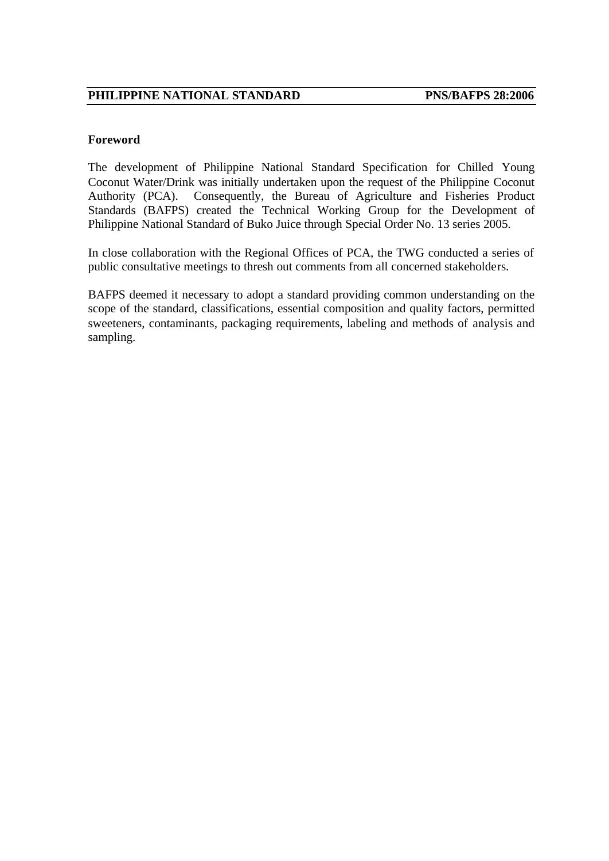#### **Foreword**

The development of Philippine National Standard Specification for Chilled Young Coconut Water/Drink was initially undertaken upon the request of the Philippine Coconut Authority (PCA). Consequently, the Bureau of Agriculture and Fisheries Product Standards (BAFPS) created the Technical Working Group for the Development of Philippine National Standard of Buko Juice through Special Order No. 13 series 2005.

In close collaboration with the Regional Offices of PCA, the TWG conducted a series of public consultative meetings to thresh out comments from all concerned stakeholders.

BAFPS deemed it necessary to adopt a standard providing common understanding on the scope of the standard, classifications, essential composition and quality factors, permitted sweeteners, contaminants, packaging requirements, labeling and methods of analysis and sampling.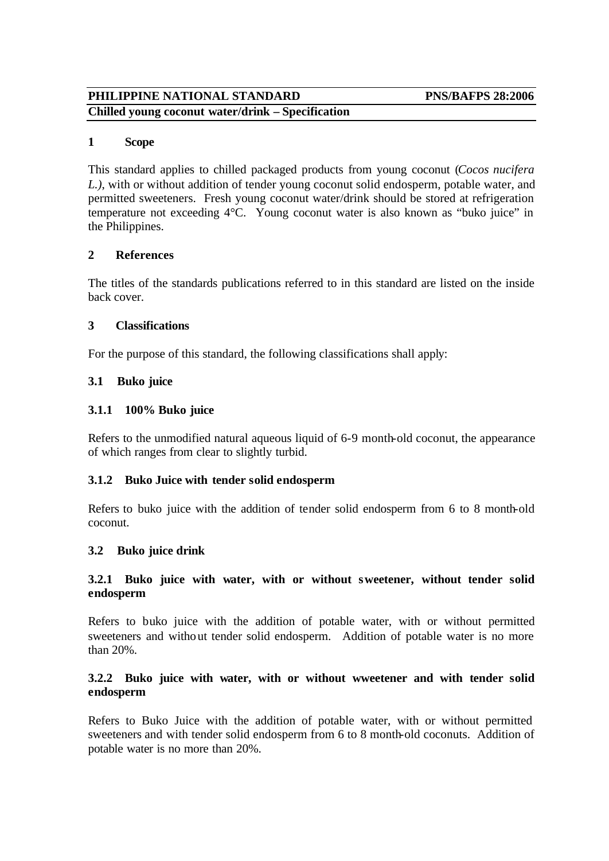#### **1 Scope**

This standard applies to chilled packaged products from young coconut (*Cocos nucifera L.)*, with or without addition of tender young coconut solid endosperm, potable water, and permitted sweeteners. Fresh young coconut water/drink should be stored at refrigeration temperature not exceeding 4°C. Young coconut water is also known as "buko juice" in the Philippines.

#### **2 References**

The titles of the standards publications referred to in this standard are listed on the inside back cover.

#### **3 Classifications**

For the purpose of this standard, the following classifications shall apply:

#### **3.1 Buko juice**

#### **3.1.1 100% Buko juice**

Refers to the unmodified natural aqueous liquid of 6-9 month-old coconut, the appearance of which ranges from clear to slightly turbid.

#### **3.1.2 Buko Juice with tender solid endosperm**

Refers to buko juice with the addition of tender solid endosperm from 6 to 8 month-old coconut.

#### **3.2 Buko juice drink**

#### **3.2.1 Buko juice with water, with or without sweetener, without tender solid endosperm**

Refers to buko juice with the addition of potable water, with or without permitted sweeteners and without tender solid endosperm. Addition of potable water is no more than 20%.

#### **3.2.2 Buko juice with water, with or without wweetener and with tender solid endosperm**

Refers to Buko Juice with the addition of potable water, with or without permitted sweeteners and with tender solid endosperm from 6 to 8 month-old coconuts. Addition of potable water is no more than 20%.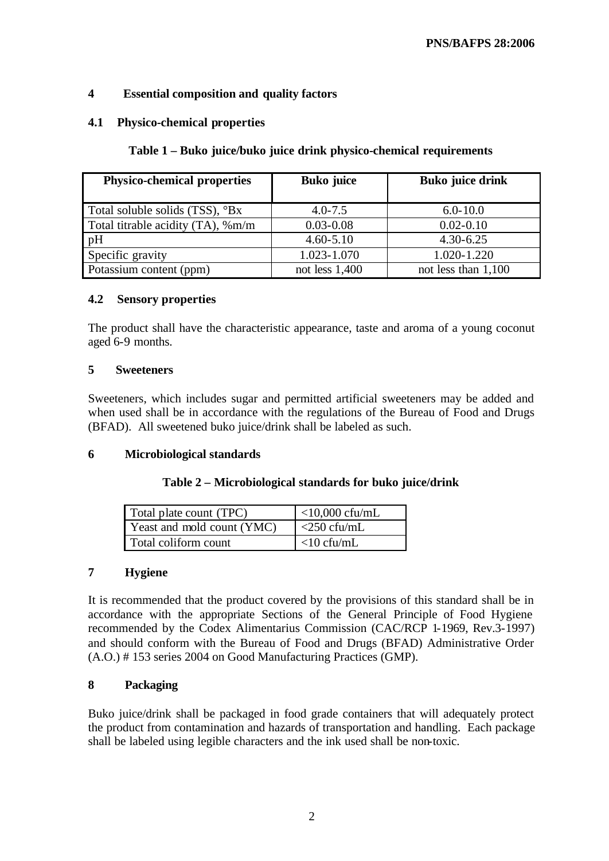### **4 Essential composition and quality factors**

#### **4.1 Physico-chemical properties**

#### **Table 1 – Buko juice/buko juice drink physico-chemical requirements**

| <b>Physico-chemical properties</b>       | <b>Buko juice</b> | <b>Buko juice drink</b> |
|------------------------------------------|-------------------|-------------------------|
| Total soluble solids (TSS), °Bx          | $4.0 - 7.5$       | $6.0 - 10.0$            |
| Total titrable acidity $(TA)$ , $\%$ m/m | $0.03 - 0.08$     | $0.02 - 0.10$           |
| pH                                       | $4.60 - 5.10$     | $4.30 - 6.25$           |
| Specific gravity                         | 1.023-1.070       | 1.020-1.220             |
| Potassium content (ppm)                  | not less $1,400$  | not less than 1,100     |

#### **4.2 Sensory properties**

The product shall have the characteristic appearance, taste and aroma of a young coconut aged 6-9 months.

#### **5 Sweeteners**

Sweeteners, which includes sugar and permitted artificial sweeteners may be added and when used shall be in accordance with the regulations of the Bureau of Food and Drugs (BFAD). All sweetened buko juice/drink shall be labeled as such.

### **6 Microbiological standards**

#### **Table 2 – Microbiological standards for buko juice/drink**

| Total plate count (TPC)    | $<$ 10,000 cfu/mL |
|----------------------------|-------------------|
| Yeast and mold count (YMC) | $<$ 250 cfu/mL    |
| Total coliform count       | $<$ 10 cfu/mL     |

#### **7 Hygiene**

It is recommended that the product covered by the provisions of this standard shall be in accordance with the appropriate Sections of the General Principle of Food Hygiene recommended by the Codex Alimentarius Commission (CAC/RCP 1-1969, Rev.3-1997) and should conform with the Bureau of Food and Drugs (BFAD) Administrative Order (A.O.) # 153 series 2004 on Good Manufacturing Practices (GMP).

### **8 Packaging**

Buko juice/drink shall be packaged in food grade containers that will adequately protect the product from contamination and hazards of transportation and handling. Each package shall be labeled using legible characters and the ink used shall be non-toxic.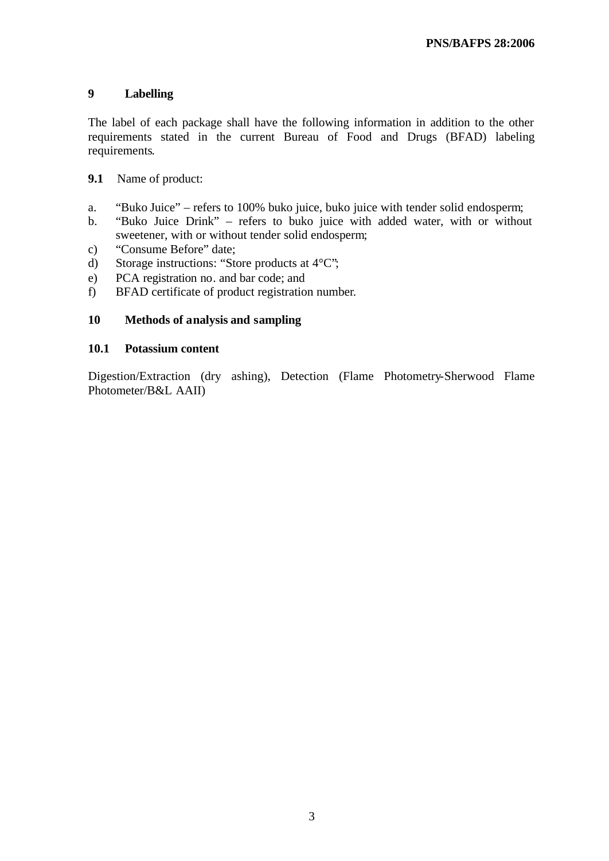### **9 Labelling**

The label of each package shall have the following information in addition to the other requirements stated in the current Bureau of Food and Drugs (BFAD) labeling requirements.

### **9.1** Name of product:

- a. "Buko Juice" refers to 100% buko juice, buko juice with tender solid endosperm;
- b. "Buko Juice Drink" refers to buko juice with added water, with or without sweetener, with or without tender solid endosperm;
- c) "Consume Before" date;
- d) Storage instructions: "Store products at 4°C";
- e) PCA registration no. and bar code; and
- f) BFAD certificate of product registration number.

#### **10 Methods of analysis and sampling**

#### **10.1 Potassium content**

Digestion/Extraction (dry ashing), Detection (Flame Photometry-Sherwood Flame Photometer/B&L AAII)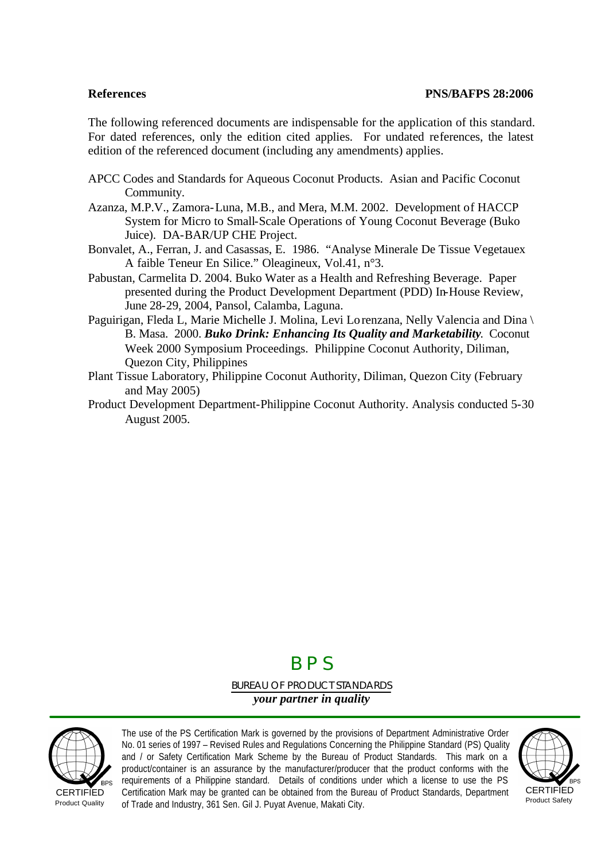The following referenced documents are indispensable for the application of this standard. For dated references, only the edition cited applies. For undated references, the latest edition of the referenced document (including any amendments) applies.

- APCC Codes and Standards for Aqueous Coconut Products. Asian and Pacific Coconut Community.
- Azanza, M.P.V., Zamora-Luna, M.B., and Mera, M.M. 2002. Development of HACCP System for Micro to Small-Scale Operations of Young Coconut Beverage (Buko Juice). DA-BAR/UP CHE Project.
- Bonvalet, A., Ferran, J. and Casassas, E. 1986. "Analyse Minerale De Tissue Vegetauex A faible Teneur En Silice." Oleagineux, Vol.41, n°3.
- Pabustan, Carmelita D. 2004. Buko Water as a Health and Refreshing Beverage. Paper presented during the Product Development Department (PDD) In-House Review, June 28-29, 2004, Pansol, Calamba, Laguna.
- Paguirigan, Fleda L, Marie Michelle J. Molina, Levi Lorenzana, Nelly Valencia and Dina \ B. Masa. 2000. *Buko Drink: Enhancing Its Quality and Marketability*. Coconut Week 2000 Symposium Proceedings. Philippine Coconut Authority, Diliman, Quezon City, Philippines
- Plant Tissue Laboratory, Philippine Coconut Authority, Diliman, Quezon City (February and May 2005)
- Product Development Department-Philippine Coconut Authority. Analysis conducted 5-30 August 2005.

## B P S

BUREAU OF PRODUCT STANDARDS *your partner in quality*



Product Quality

The use of the PS Certification Mark is governed by the provisions of Department Administrative Order No. 01 series of 1997 – Revised Rules and Regulations Concerning the Philippine Standard (PS) Quality and / or Safety Certification Mark Scheme by the Bureau of Product Standards. This mark on a product/container is an assurance by the manufacturer/producer that the product conforms with the requirements of a Philippine standard. Details of conditions under which a license to use the PS Certification Mark may be granted can be obtained from the Bureau of Product Standards, Department of Trade and Industry, 361 Sen. Gil J. Puyat Avenue, Makati City.